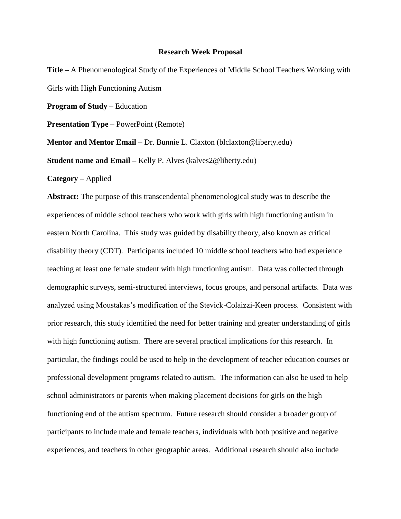## **Research Week Proposal**

**Title –** A Phenomenological Study of the Experiences of Middle School Teachers Working with Girls with High Functioning Autism

**Program of Study –** Education

**Presentation Type –** PowerPoint (Remote)

**Mentor and Mentor Email –** Dr. Bunnie L. Claxton (blclaxton@liberty.edu)

**Student name and Email –** Kelly P. Alves (kalves2@liberty.edu)

**Category –** Applied

**Abstract:** The purpose of this transcendental phenomenological study was to describe the experiences of middle school teachers who work with girls with high functioning autism in eastern North Carolina. This study was guided by disability theory, also known as critical disability theory (CDT). Participants included 10 middle school teachers who had experience teaching at least one female student with high functioning autism. Data was collected through demographic surveys, semi-structured interviews, focus groups, and personal artifacts. Data was analyzed using Moustakas's modification of the Stevick-Colaizzi-Keen process. Consistent with prior research, this study identified the need for better training and greater understanding of girls with high functioning autism. There are several practical implications for this research. In particular, the findings could be used to help in the development of teacher education courses or professional development programs related to autism. The information can also be used to help school administrators or parents when making placement decisions for girls on the high functioning end of the autism spectrum. Future research should consider a broader group of participants to include male and female teachers, individuals with both positive and negative experiences, and teachers in other geographic areas. Additional research should also include